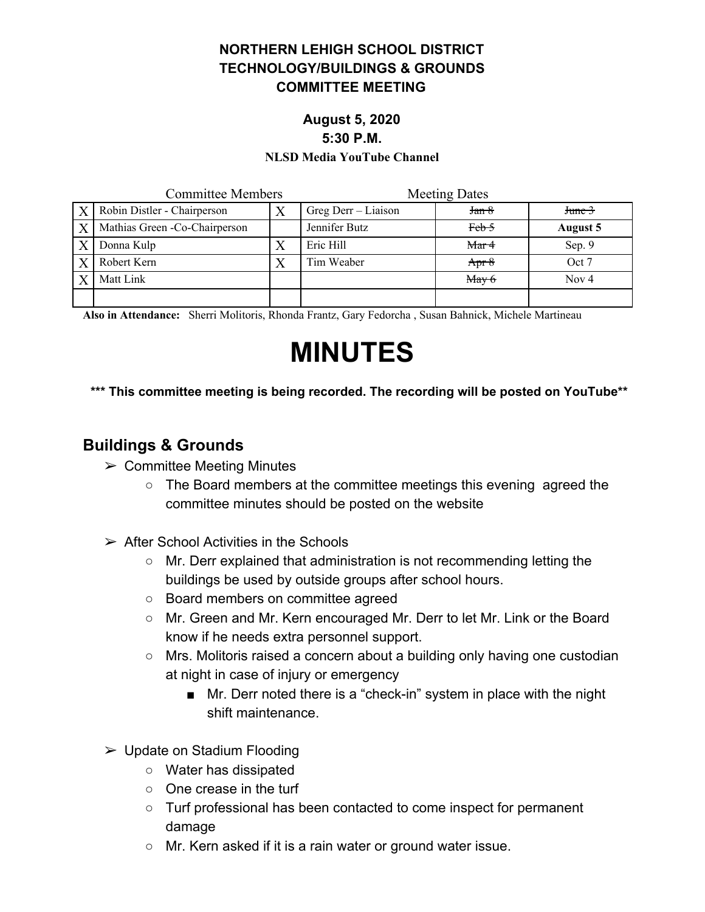### **NORTHERN LEHIGH SCHOOL DISTRICT TECHNOLOGY/BUILDINGS & GROUNDS COMMITTEE MEETING**

## **August 5, 2020 5:30 P.M.**

#### **NLSD Media YouTube Channel**

| <b>Committee Members</b> |                                | <b>Meeting Dates</b> |                  |              |
|--------------------------|--------------------------------|----------------------|------------------|--------------|
| $\mathbf{X}$             | Robin Distler - Chairperson    | Greg Derr – Liaison  | Jan 8            | $J$ tune $3$ |
|                          | Mathias Green - Co-Chairperson | Jennifer Butz        | Feb <sub>5</sub> | August 5     |
|                          | Donna Kulp                     | Eric Hill            | Mar <sub>4</sub> | Sep. 9       |
|                          | Robert Kern                    | Tim Weaber           | Apr $8$          | Oct 7        |
|                          | Matt Link                      |                      | $M$ ay 6         | Nov $4$      |
|                          |                                |                      |                  |              |

**Also in Attendance:** Sherri Molitoris, Rhonda Frantz, Gary Fedorcha , Susan Bahnick, Michele Martineau

# **MINUTES**

### **\*\*\* This committee meeting is being recorded. The recording will be posted on YouTube\*\***

## **Buildings & Grounds**

- $\triangleright$  Committee Meeting Minutes
	- The Board members at the committee meetings this evening agreed the committee minutes should be posted on the website
- $\triangleright$  After School Activities in the Schools
	- Mr. Derr explained that administration is not recommending letting the buildings be used by outside groups after school hours.
	- Board members on committee agreed
	- Mr. Green and Mr. Kern encouraged Mr. Derr to let Mr. Link or the Board know if he needs extra personnel support.
	- Mrs. Molitoris raised a concern about a building only having one custodian at night in case of injury or emergency
		- Mr. Derr noted there is a "check-in" system in place with the night shift maintenance.
- $\triangleright$  Update on Stadium Flooding
	- Water has dissipated
	- One crease in the turf
	- Turf professional has been contacted to come inspect for permanent damage
	- Mr. Kern asked if it is a rain water or ground water issue.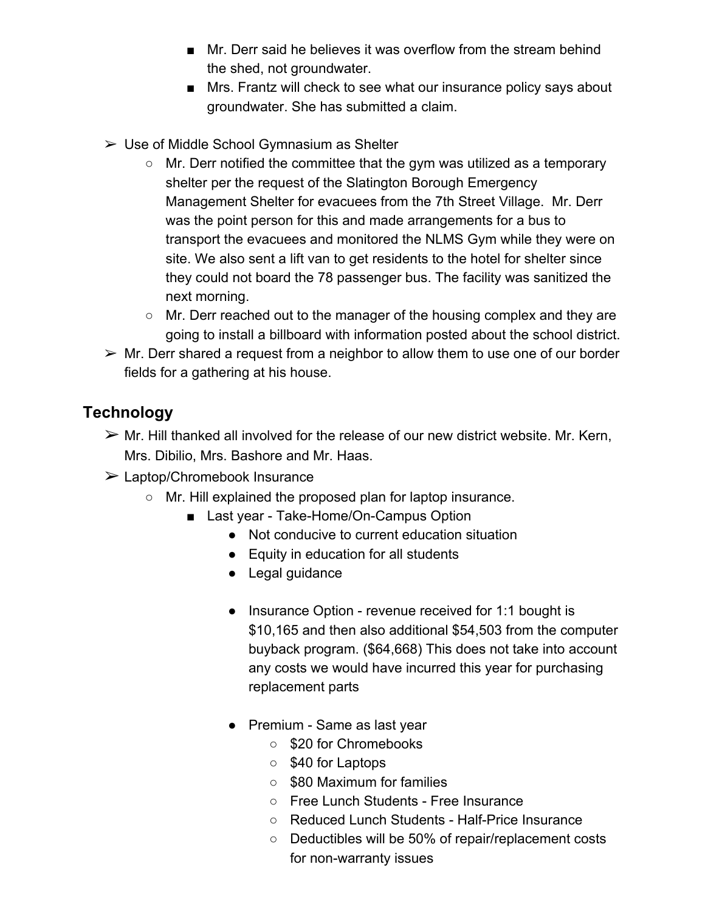- Mr. Derr said he believes it was overflow from the stream behind the shed, not groundwater.
- Mrs. Frantz will check to see what our insurance policy says about groundwater. She has submitted a claim.
- $\triangleright$  Use of Middle School Gymnasium as Shelter
	- Mr. Derr notified the committee that the gym was utilized as a temporary shelter per the request of the Slatington Borough Emergency Management Shelter for evacuees from the 7th Street Village. Mr. Derr was the point person for this and made arrangements for a bus to transport the evacuees and monitored the NLMS Gym while they were on site. We also sent a lift van to get residents to the hotel for shelter since they could not board the 78 passenger bus. The facility was sanitized the next morning.
	- Mr. Derr reached out to the manager of the housing complex and they are going to install a billboard with information posted about the school district.
- $\triangleright$  Mr. Derr shared a request from a neighbor to allow them to use one of our border fields for a gathering at his house.

# **Technology**

- $\triangleright$  Mr. Hill thanked all involved for the release of our new district website. Mr. Kern, Mrs. Dibilio, Mrs. Bashore and Mr. Haas.
- ➢ Laptop/Chromebook Insurance
	- Mr. Hill explained the proposed plan for laptop insurance.
		- Last year Take-Home/On-Campus Option
			- Not conducive to current education situation
			- Equity in education for all students
			- Legal guidance
			- Insurance Option revenue received for 1:1 bought is \$10,165 and then also additional \$54,503 from the computer buyback program. (\$64,668) This does not take into account any costs we would have incurred this year for purchasing replacement parts
			- Premium Same as last year
				- \$20 for Chromebooks
				- \$40 for Laptops
				- \$80 Maximum for families
				- Free Lunch Students Free Insurance
				- Reduced Lunch Students Half-Price Insurance
				- Deductibles will be 50% of repair/replacement costs for non-warranty issues